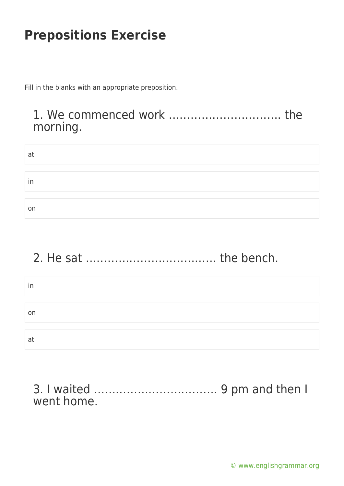Fill in the blanks with an appropriate preposition.

### 1. We commenced work …………………………. the morning.

| at |  |  |  |
|----|--|--|--|
|    |  |  |  |
| in |  |  |  |
|    |  |  |  |
| on |  |  |  |

# 2. He sat ……………………………… the bench.

| In |  |  |
|----|--|--|
|    |  |  |
| on |  |  |
|    |  |  |
| at |  |  |

3. I waited ……………………………. 9 pm and then I went home.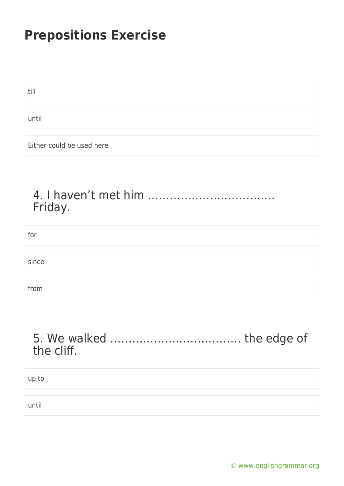till

until

Either could be used here

### 4. I haven't met him …………………………….. Friday.

| for   |  |
|-------|--|
|       |  |
| since |  |
|       |  |
| from  |  |

### 5. We walked ……………………………… the edge of the cliff.

up to

until

[© www.englishgrammar.org](https://www.englishgrammar.org/)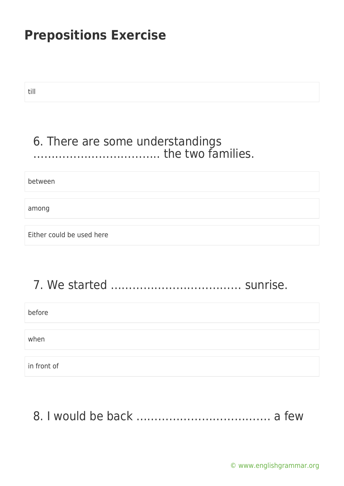till

### 6. There are some understandings …………………………….. the two families.

between

among

Either could be used here

# 7. We started ……………………………… sunrise.

before

when

in front of

8. I would be back ………………………………. a few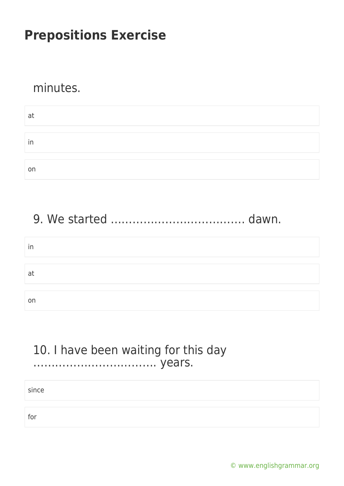#### minutes.

| at |  |
|----|--|
|    |  |
| in |  |
|    |  |
| on |  |

## 9. We started ………………………………. dawn.

| ın |  |  |  |
|----|--|--|--|
|    |  |  |  |
| at |  |  |  |
|    |  |  |  |
| on |  |  |  |

#### 10. I have been waiting for this day ……………………………. years.

since

for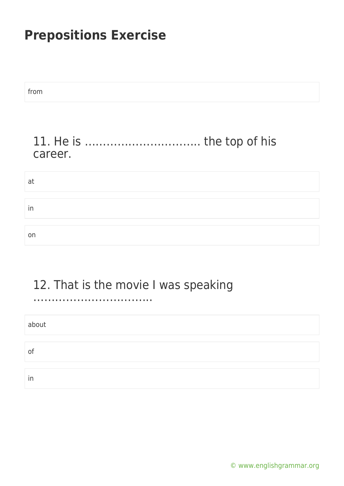from 11. He is ………………………….. the top of his career. at in on

## 12. That is the movie I was speaking

…………………………...

about of in